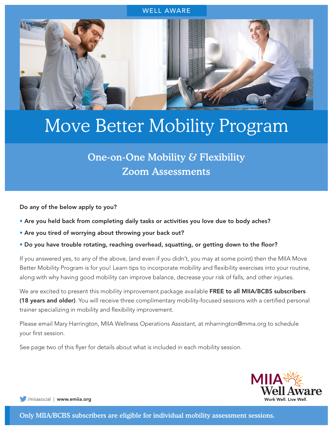

## Move Better Mobility Program

## One-on-One Mobility & Flexibility Zoom Assessments

Do any of the below apply to you?

- Are you held back from completing daily tasks or activities you love due to body aches?
- Are you tired of worrying about throwing your back out?
- Do you have trouble rotating, reaching overhead, squatting, or getting down to the floor?

If you answered yes, to any of the above, (and even if you didn't, you may at some point) then the MIIA Move Better Mobility Program is for you! Learn tips to incorporate mobility and flexibility exercises into your routine, along with why having good mobility can improve balance, decrease your risk of falls, and other injuries.

We are excited to present this mobility improvement package available FREE to all MIIA/BCBS subscribers (18 years and older). You will receive three complimentary mobility-focused sessions with a certified personal trainer specializing in mobility and flexibility improvement.

Please email Mary Harrington, MIIA Wellness Operations Assistant, at mharrington@mma.org to schedule your first session.

See page two of this flyer for details about what is included in each mobility session.



[/miiasocial |](https://twitter.com/miiasocial) [www.emiia.org](http://www.emiia.org)